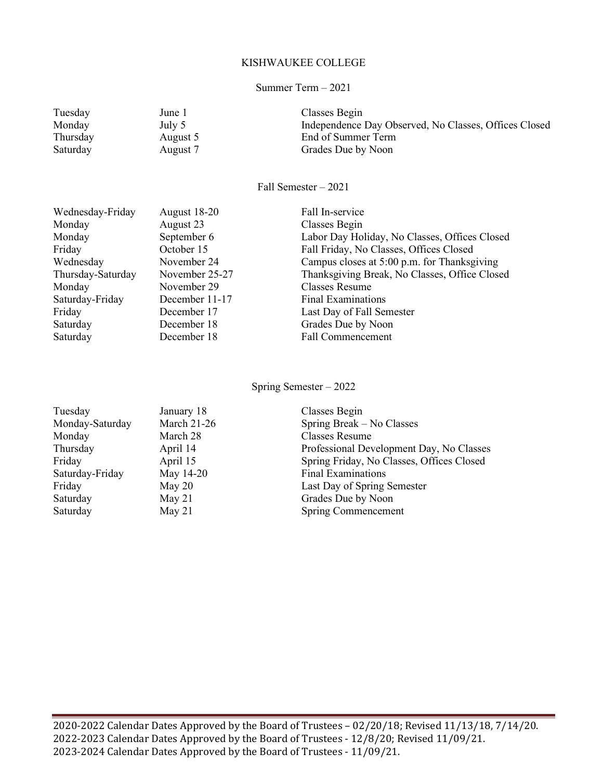#### KISHWAUKEE COLLEGE

#### Summer Term – 2021

| Tuesday  | June 1   | Classes Begin                                         |
|----------|----------|-------------------------------------------------------|
| Monday   | July 5   | Independence Day Observed, No Classes, Offices Closed |
| Thursday | August 5 | End of Summer Term                                    |
| Saturday | August 7 | Grades Due by Noon                                    |
|          |          |                                                       |

Fall Semester – 2021

| Wednesday-Friday  | August 18-20   | Fall In-service                               |
|-------------------|----------------|-----------------------------------------------|
| Monday            | August 23      | Classes Begin                                 |
| Monday            | September 6    | Labor Day Holiday, No Classes, Offices Closed |
| Friday            | October 15     | Fall Friday, No Classes, Offices Closed       |
| Wednesday         | November 24    | Campus closes at 5:00 p.m. for Thanksgiving   |
| Thursday-Saturday | November 25-27 | Thanksgiving Break, No Classes, Office Closed |
| Monday            | November 29    | Classes Resume                                |
| Saturday-Friday   | December 11-17 | Final Examinations                            |
| Friday            | December 17    | Last Day of Fall Semester                     |
| Saturday          | December 18    | Grades Due by Noon                            |
| Saturday          | December 18    | <b>Fall Commencement</b>                      |

Spring Semester – 2022

| Tuesday         | January 18         | Classes Begin                             |
|-----------------|--------------------|-------------------------------------------|
| Monday-Saturday | <b>March 21-26</b> | Spring Break – No Classes                 |
| Monday          | March 28           | <b>Classes Resume</b>                     |
| Thursday        | April 14           | Professional Development Day, No Classes  |
| Friday          | April 15           | Spring Friday, No Classes, Offices Closed |
| Saturday-Friday | May 14-20          | <b>Final Examinations</b>                 |
| Friday          | May $20$           | Last Day of Spring Semester               |
| Saturday        | May $21$           | Grades Due by Noon                        |
| Saturday        | May $21$           | Spring Commencement                       |
|                 |                    |                                           |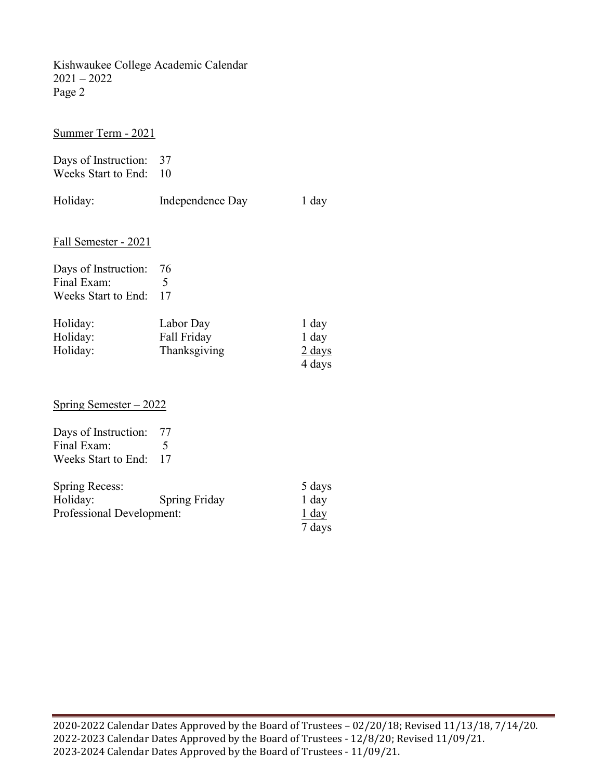Kishwaukee College Academic Calendar 2021 – 2022 Page 2

Summer Term - 2021

Days of Instruction: 37 Weeks Start to End: 10

| Holiday:                                                        | Independence Day                                        | 1 day               |
|-----------------------------------------------------------------|---------------------------------------------------------|---------------------|
| Fall Semester - 2021                                            |                                                         |                     |
| Days of Instruction:<br>Final Exam:<br>Weeks Start to End:      | 76<br>17                                                |                     |
| Holiday:<br>$\mathbf{H}$ $\mathbf{H}$ $\mathbf{H}$ $\mathbf{H}$ | Labor Day<br>$E_{\alpha}11$ $E_{\alpha}13$ $E_{\alpha}$ | 1 day<br>$1 - 1 - $ |

| Holiday: | Labor Day    | 1 day            |
|----------|--------------|------------------|
| Holiday: | Fall Friday  | 1 day            |
| Holiday: | Thanksgiving | $2 \text{ days}$ |
|          |              | 4 days           |

Spring Semester – 2022

| Days of Instruction:   | 77 |
|------------------------|----|
| Final Exam:            |    |
| Weeks Start to End: 17 |    |

| Spring Recess:            |                      | 5 days  |
|---------------------------|----------------------|---------|
| Holiday:                  | <b>Spring Friday</b> | 1 day   |
| Professional Development: |                      | $1$ day |
|                           |                      | 7 days  |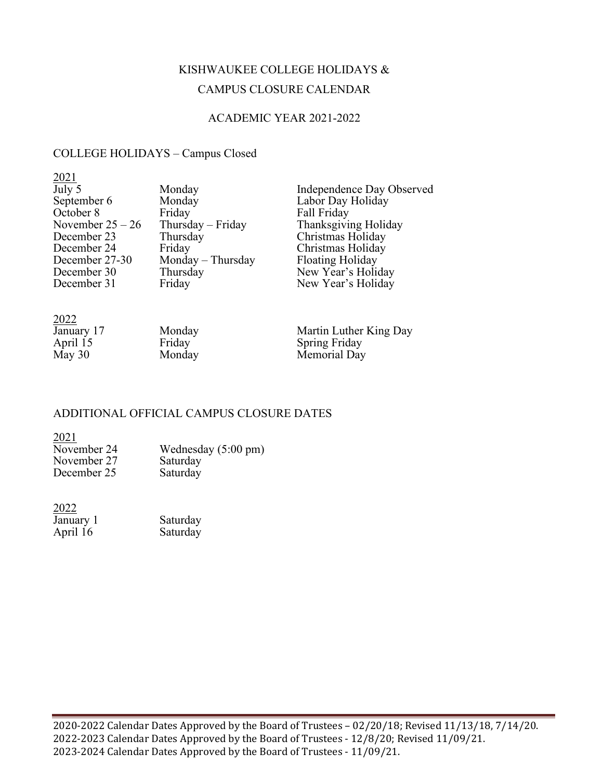# KISHWAUKEE COLLEGE HOLIDAYS & CAMPUS CLOSURE CALENDAR

### ACADEMIC YEAR 2021-2022

## COLLEGE HOLIDAYS – Campus Closed

| 2021               |                     |                           |
|--------------------|---------------------|---------------------------|
| July 5             | Monday              | Independence Day Observed |
| September 6        | Monday              | Labor Day Holiday         |
| October 8          | Friday              | Fall Friday               |
| November $25 - 26$ | Thursday $-$ Friday | Thanksgiving Holiday      |
| December 23        | Thursday            | Christmas Holiday         |
| December 24        | Friday              | Christmas Holiday         |
| December 27-30     | Monday – Thursday   | <b>Floating Holiday</b>   |
| December 30        | Thursday            | New Year's Holiday        |
| December 31        | Friday              | New Year's Holiday        |
|                    |                     |                           |

| ----       |        |                        |
|------------|--------|------------------------|
| January 17 | Monday | Martin Luther King Day |
| April 15   | Friday | <b>Spring Friday</b>   |
| May $30$   | Monday | Memorial Day           |
|            |        |                        |

### ADDITIONAL OFFICIAL CAMPUS CLOSURE DATES

 $\frac{2021}{\text{November 24}}$ Wednesday (5:00 pm)<br>Saturday November 27 Saturday<br>December 25 Saturday December 25

| 2022      |          |
|-----------|----------|
| January 1 | Saturday |
| April 16  | Saturday |

2022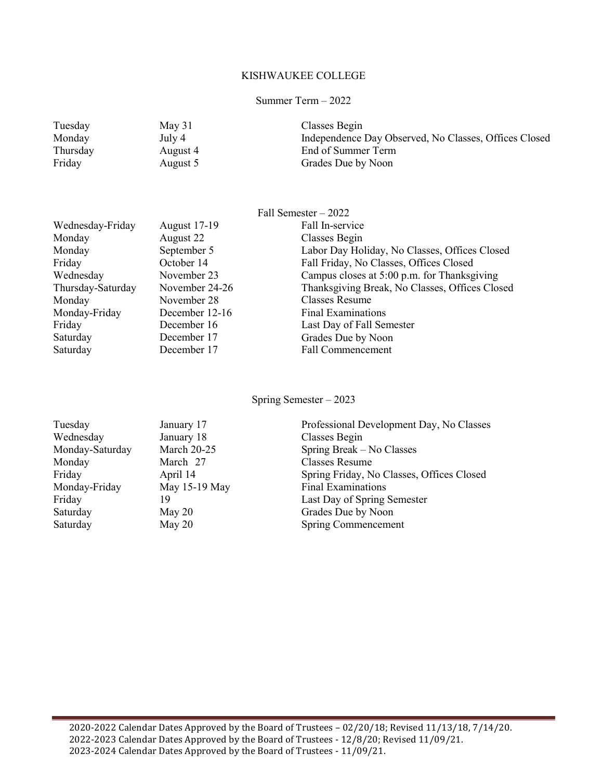#### KISHWAUKEE COLLEGE

#### Summer Term – 2022

| Tuesday  | May 31   | Classes Begin                                         |
|----------|----------|-------------------------------------------------------|
| Monday   | July 4   | Independence Day Observed, No Classes, Offices Closed |
| Thursday | August 4 | End of Summer Term                                    |
| Friday   | August 5 | Grades Due by Noon                                    |

|                   |                     | Fall Semester $-2022$                          |
|-------------------|---------------------|------------------------------------------------|
| Wednesday-Friday  | <b>August 17-19</b> | Fall In-service                                |
| Monday            | August 22           | Classes Begin                                  |
| Monday            | September 5         | Labor Day Holiday, No Classes, Offices Closed  |
| Friday            | October 14          | Fall Friday, No Classes, Offices Closed        |
| Wednesday         | November 23         | Campus closes at 5:00 p.m. for Thanksgiving    |
| Thursday-Saturday | November 24-26      | Thanksgiving Break, No Classes, Offices Closed |
| Monday            | November 28         | Classes Resume                                 |
| Monday-Friday     | December 12-16      | Final Examinations                             |
| Friday            | December 16         | Last Day of Fall Semester                      |
| Saturday          | December 17         | Grades Due by Noon                             |
| Saturday          | December 17         | <b>Fall Commencement</b>                       |
|                   |                     |                                                |

Spring Semester – 2023

| Tuesday         | January 17         | Professional Development Day, No Classes  |
|-----------------|--------------------|-------------------------------------------|
| Wednesday       | January 18         | Classes Begin                             |
| Monday-Saturday | <b>March 20-25</b> | Spring Break – No Classes                 |
| Monday          | March 27           | Classes Resume                            |
| Friday          | April 14           | Spring Friday, No Classes, Offices Closed |
| Monday-Friday   | May 15-19 May      | <b>Final Examinations</b>                 |
| Friday          | 19                 | Last Day of Spring Semester               |
| Saturday        | May $20$           | Grades Due by Noon                        |
| Saturday        | May 20             | <b>Spring Commencement</b>                |
|                 |                    |                                           |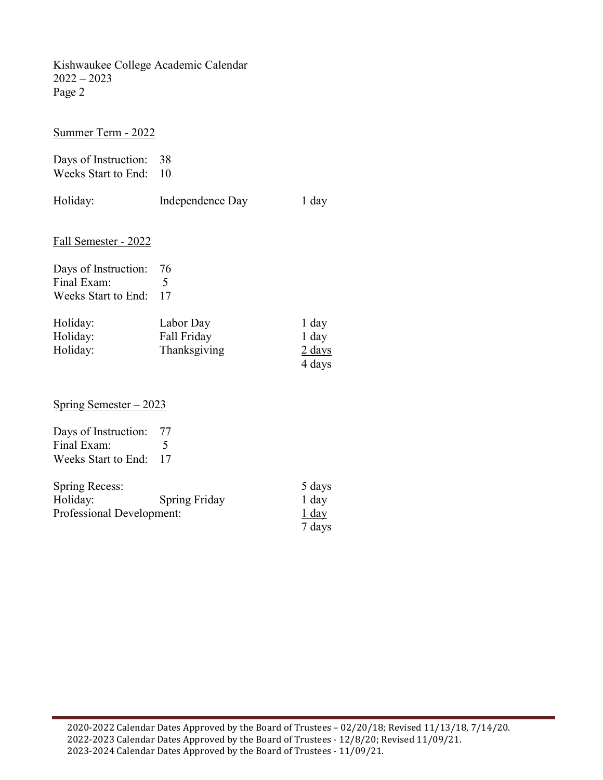Kishwaukee College Academic Calendar 2022 – 2023 Page 2

Summer Term - 2022

Days of Instruction: 38 Weeks Start to End: 10

| Holiday:                               | Independence Day | 1 day |
|----------------------------------------|------------------|-------|
| Fall Semester - 2022                   |                  |       |
| Days of Instruction: 76<br>Final Exam: |                  |       |

| Holiday: | Labor Day    | 1 day            |
|----------|--------------|------------------|
| Holiday: | Fall Friday  | 1 day            |
| Holiday: | Thanksgiving | $2 \text{ days}$ |
|          |              | 4 days           |

Spring Semester – 2023

Weeks Start to End: 17

| Days of Instruction:   | - 77                     |
|------------------------|--------------------------|
| Final Exam:            | $\overline{\phantom{1}}$ |
| Weeks Start to End: 17 |                          |

| Spring Recess:            |                      | 5 days  |
|---------------------------|----------------------|---------|
| Holiday:                  | <b>Spring Friday</b> | 1 day   |
| Professional Development: |                      | $1$ day |
|                           |                      | 7 days  |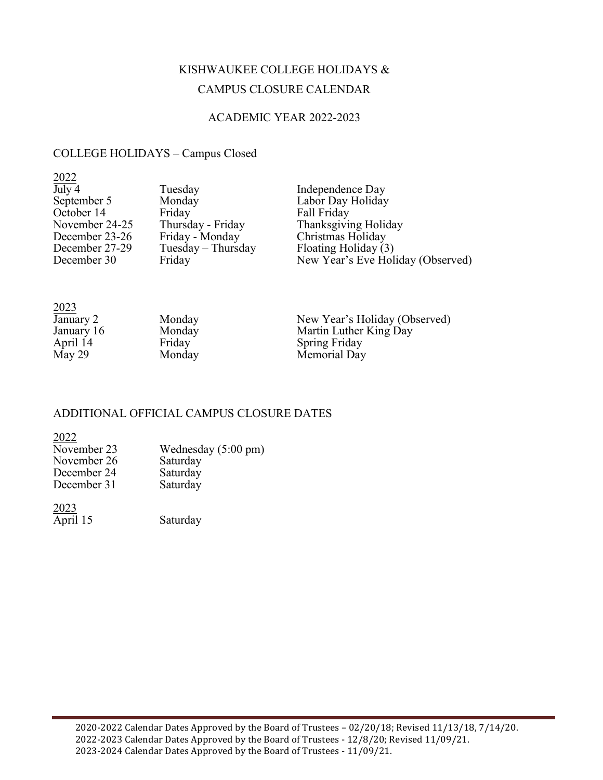# KISHWAUKEE COLLEGE HOLIDAYS & CAMPUS CLOSURE CALENDAR

### ACADEMIC YEAR 2022-2023

## COLLEGE HOLIDAYS – Campus Closed

| 2022                         |                      |                                   |
|------------------------------|----------------------|-----------------------------------|
| $\overline{\mathrm{July}}$ 4 | Tuesday              | Independence Day                  |
| September 5                  | Monday               | Labor Day Holiday                 |
| October 14                   | Friday               | Fall Friday                       |
| November 24-25               | Thursday - Friday    | Thanksgiving Holiday              |
| December 23-26               | Friday - Monday      | Christmas Holiday                 |
| December 27-29               | $Tuesday - Thursday$ | Floating Holiday (3)              |
| December 30                  | Friday               | New Year's Eve Holiday (Observed) |

| 2023       |        |                               |
|------------|--------|-------------------------------|
| January 2  | Monday | New Year's Holiday (Observed) |
| January 16 | Monday | Martin Luther King Day        |
| April 14   | Friday | <b>Spring Friday</b>          |
| May 29     | Monday | Memorial Day                  |

### ADDITIONAL OFFICIAL CAMPUS CLOSURE DATES

| 2022        |                     |
|-------------|---------------------|
| November 23 | Wednesday (5:00 pm) |
| November 26 | Saturday            |
| December 24 | Saturday            |
| December 31 | Saturday            |
|             |                     |
|             |                     |

April  $15$ Saturday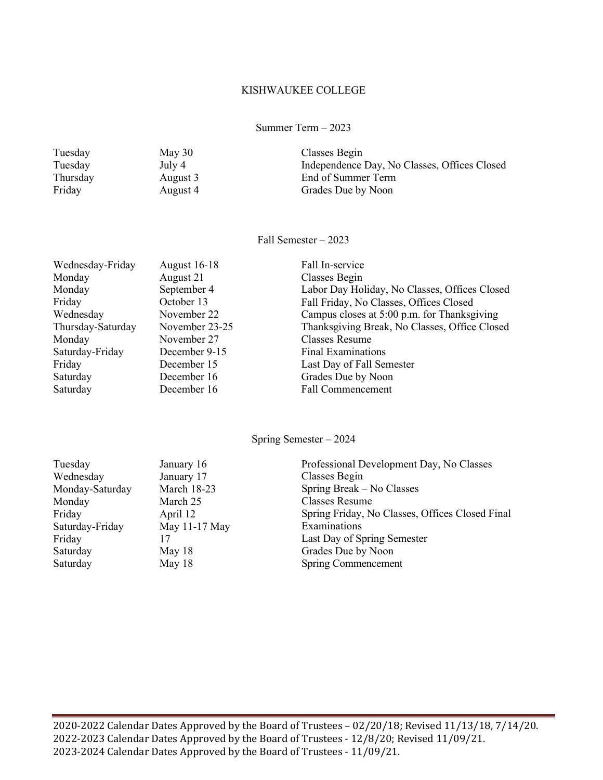#### KISHWAUKEE COLLEGE

Summer Term – 2023

| Tuesday  | May $30$ | Classes Begin                                |
|----------|----------|----------------------------------------------|
| Tuesday  | July 4   | Independence Day, No Classes, Offices Closed |
| Thursday | August 3 | End of Summer Term                           |
| Friday   | August 4 | Grades Due by Noon                           |
|          |          |                                              |

Fall Semester – 2023

| Wednesday-Friday  | <b>August 16-18</b> | Fall In-service                               |
|-------------------|---------------------|-----------------------------------------------|
| Monday            | August 21           | Classes Begin                                 |
| Monday            | September 4         | Labor Day Holiday, No Classes, Offices Closed |
| Friday            | October 13          | Fall Friday, No Classes, Offices Closed       |
| Wednesday         | November 22         | Campus closes at 5:00 p.m. for Thanksgiving   |
| Thursday-Saturday | November 23-25      | Thanksgiving Break, No Classes, Office Closed |
| Monday            | November 27         | Classes Resume                                |
| Saturday-Friday   | December 9-15       | <b>Final Examinations</b>                     |
| Friday            | December 15         | Last Day of Fall Semester                     |
| Saturday          | December 16         | Grades Due by Noon                            |
| Saturday          | December 16         | <b>Fall Commencement</b>                      |
|                   |                     |                                               |

Spring Semester – 2024

| Tuesday         | January 16         | Professional Development Day, No Classes        |
|-----------------|--------------------|-------------------------------------------------|
| Wednesday       | January 17         | Classes Begin                                   |
| Monday-Saturday | <b>March 18-23</b> | Spring Break – No Classes                       |
| Monday          | March 25           | Classes Resume                                  |
| Friday          | April 12           | Spring Friday, No Classes, Offices Closed Final |
| Saturday-Friday | May 11-17 May      | Examinations                                    |
| Friday          | 17                 | Last Day of Spring Semester                     |
| Saturday        | May $18$           | Grades Due by Noon                              |
| Saturday        | May 18             | Spring Commencement                             |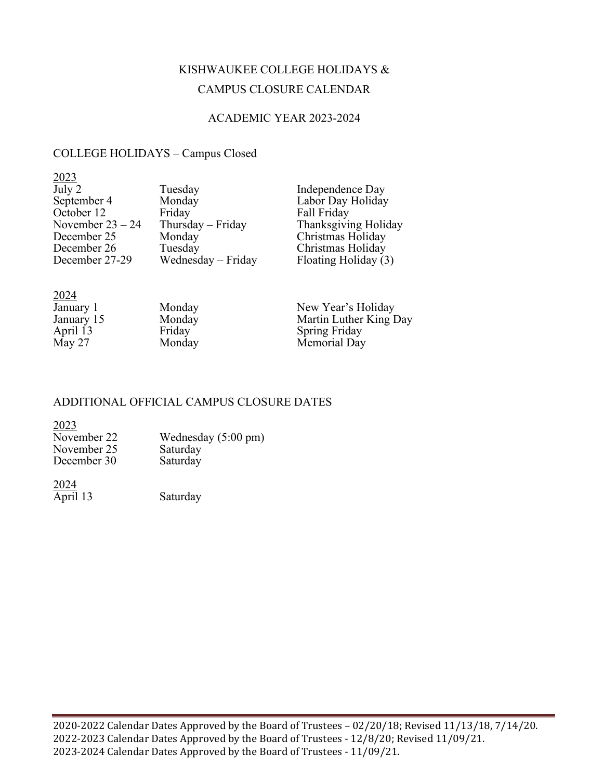# KISHWAUKEE COLLEGE HOLIDAYS & CAMPUS CLOSURE CALENDAR

### ACADEMIC YEAR 2023-2024

## COLLEGE HOLIDAYS – Campus Closed

| 2023               |                    |                      |
|--------------------|--------------------|----------------------|
| July 2             | Tuesday            | Independence Day     |
| September 4        | Monday             | Labor Day Holiday    |
| October 12         | Friday             | Fall Friday          |
| November $23 - 24$ | Thursday - Friday  | Thanksgiving Holiday |
| December 25        | Monday             | Christmas Holiday    |
| December 26        | Tuesday            | Christmas Holiday    |
| December 27-29     | Wednesday – Friday | Floating Holiday (3) |
|                    |                    |                      |

| 2024       |        |                        |
|------------|--------|------------------------|
| January 1  | Monday | New Year's Holiday     |
| January 15 | Monday | Martin Luther King Day |
| April 13   | Friday | <b>Spring Friday</b>   |
| May 27     | Monday | Memorial Day           |

### ADDITIONAL OFFICIAL CAMPUS CLOSURE DATES

#### 2023

| November 22 | Wednesday $(5:00 \text{ pm})$ |
|-------------|-------------------------------|
| November 25 | Saturday                      |
| December 30 | Saturday                      |

2024

April 13 Saturday